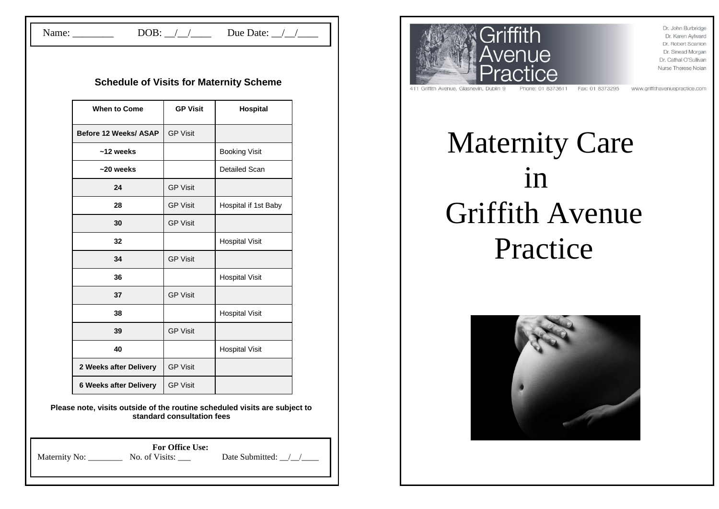Name: \_\_\_\_\_\_\_\_\_ DOB: \_/\_/\_\_\_\_ Due Date: \_/\_/\_\_\_

### **Schedule of Visits for Maternity Scheme**

| <b>When to Come</b>           | <b>GP Visit</b> | Hospital              |
|-------------------------------|-----------------|-----------------------|
| Before 12 Weeks/ ASAP         | <b>GP Visit</b> |                       |
| $~12$ weeks                   |                 | <b>Booking Visit</b>  |
| $~20$ weeks                   |                 | Detailed Scan         |
| 24                            | <b>GP Visit</b> |                       |
| 28                            | <b>GP Visit</b> | Hospital if 1st Baby  |
| 30                            | <b>GP Visit</b> |                       |
| 32                            |                 | <b>Hospital Visit</b> |
| 34                            | <b>GP Visit</b> |                       |
| 36                            |                 | <b>Hospital Visit</b> |
| 37                            | <b>GP Visit</b> |                       |
| 38                            |                 | <b>Hospital Visit</b> |
| 39                            | <b>GP Visit</b> |                       |
| 40                            |                 | <b>Hospital Visit</b> |
| 2 Weeks after Delivery        | <b>GP Visit</b> |                       |
| <b>6 Weeks after Delivery</b> | <b>GP Visit</b> |                       |

**Please note, visits outside of the routine scheduled visits are subject to standard consultation fees**

|               | <b>For Office Use:</b> |                 |  |
|---------------|------------------------|-----------------|--|
| Maternity No: | No. of Visits:         | Date Submitted: |  |
|               |                        |                 |  |